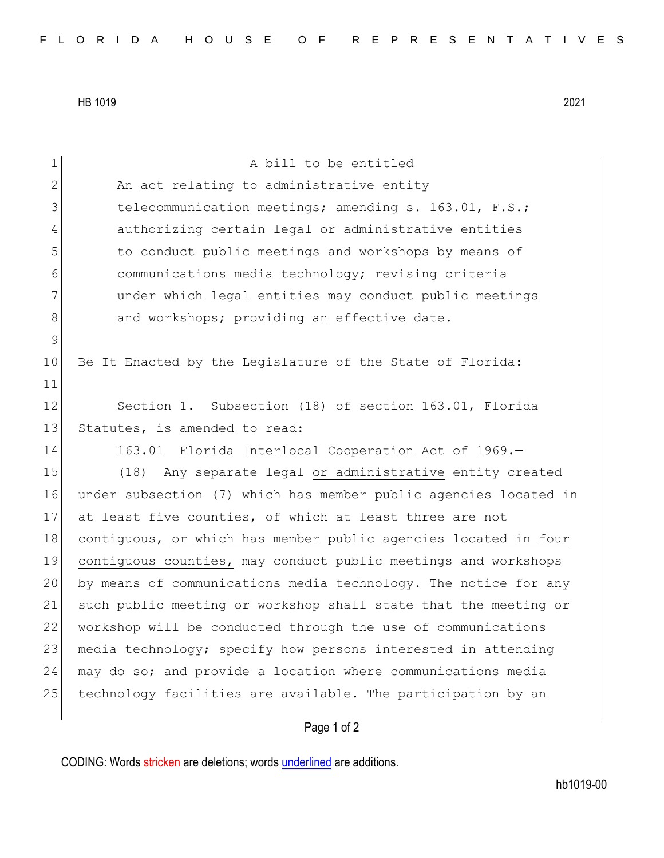HB 1019 2021

| $\mathbf 1$ | A bill to be entitled                                            |
|-------------|------------------------------------------------------------------|
| 2           | An act relating to administrative entity                         |
| 3           | telecommunication meetings; amending s. 163.01, F.S.;            |
| 4           | authorizing certain legal or administrative entities             |
| 5           | to conduct public meetings and workshops by means of             |
| 6           | communications media technology; revising criteria               |
| 7           | under which legal entities may conduct public meetings           |
| 8           | and workshops; providing an effective date.                      |
| 9           |                                                                  |
| 10          | Be It Enacted by the Legislature of the State of Florida:        |
| 11          |                                                                  |
| 12          | Section 1. Subsection (18) of section 163.01, Florida            |
| 13          | Statutes, is amended to read:                                    |
| 14          | 163.01 Florida Interlocal Cooperation Act of 1969.-              |
| 15          | Any separate legal or administrative entity created<br>(18)      |
| 16          | under subsection (7) which has member public agencies located in |
| 17          | at least five counties, of which at least three are not          |
| 18          | contiguous, or which has member public agencies located in four  |
| 19          | contiguous counties, may conduct public meetings and workshops   |
| 20          | by means of communications media technology. The notice for any  |
| 21          | such public meeting or workshop shall state that the meeting or  |
| 22          | workshop will be conducted through the use of communications     |
| 23          | media technology; specify how persons interested in attending    |
| 24          | may do so; and provide a location where communications media     |
| 25          | technology facilities are available. The participation by an     |
|             | Page 1 of 2                                                      |

CODING: Words stricken are deletions; words underlined are additions.